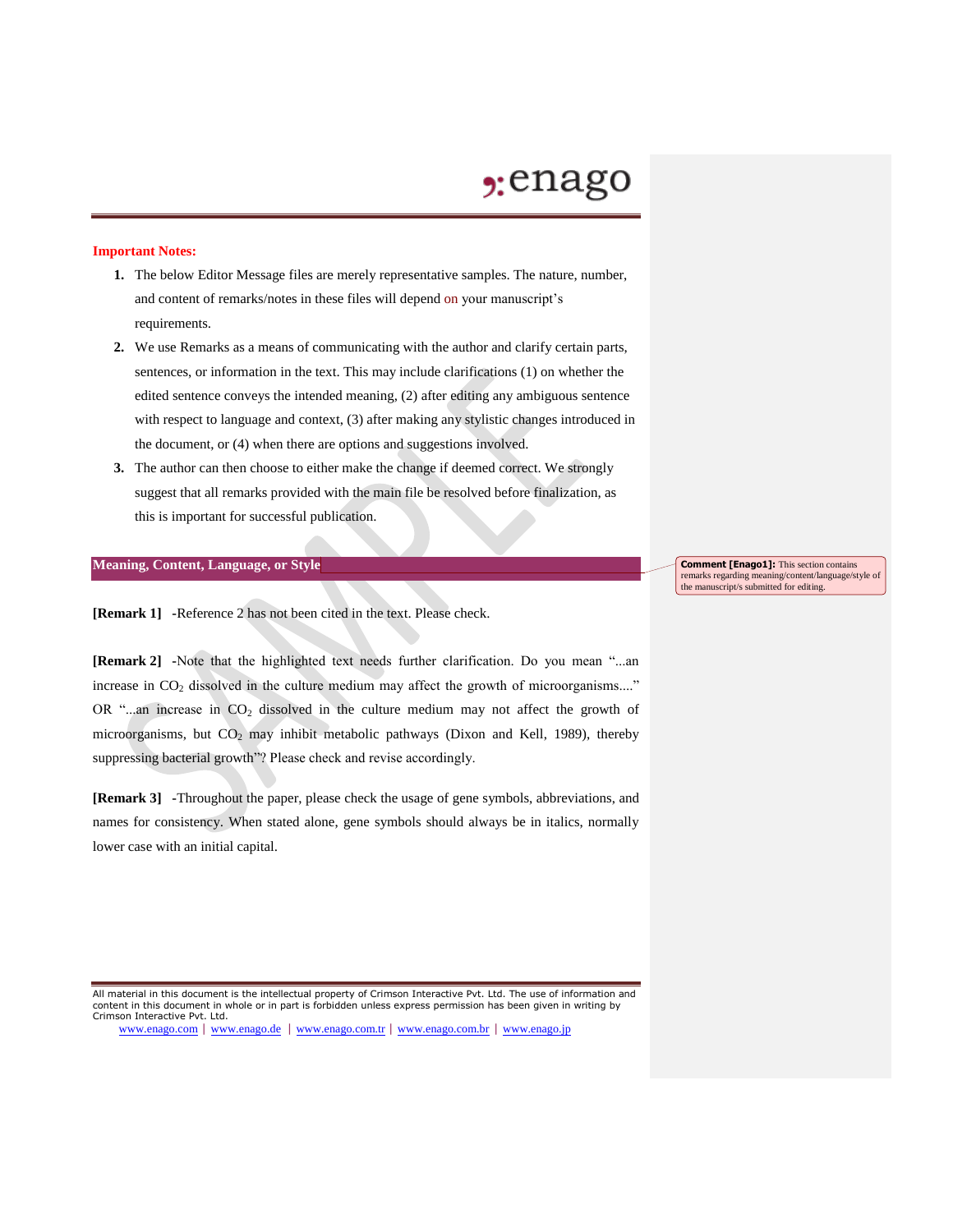## $2:$ enago

### **Important Notes:**

- **1.** The below Editor Message files are merely representative samples. The nature, number, and content of remarks/notes in these files will depend on your manuscript's requirements.
- **2.** We use Remarks as a means of communicating with the author and clarify certain parts, sentences, or information in the text. This may include clarifications (1) on whether the edited sentence conveys the intended meaning, (2) after editing any ambiguous sentence with respect to language and context, (3) after making any stylistic changes introduced in the document, or (4) when there are options and suggestions involved.
- **3.** The author can then choose to either make the change if deemed correct. We strongly suggest that all remarks provided with the main file be resolved before finalization, as this is important for successful publication.

#### **Meaning, Content, Language, or Style**

**[Remark 1] -**Reference 2 has not been cited in the text. Please check.

**[Remark 2] -**Note that the highlighted text needs further clarification. Do you mean "...an increase in  $CO<sub>2</sub>$  dissolved in the culture medium may affect the growth of microorganisms...." OR "...an increase in  $CO<sub>2</sub>$  dissolved in the culture medium may not affect the growth of microorganisms, but  $CO<sub>2</sub>$  may inhibit metabolic pathways (Dixon and Kell, 1989), thereby suppressing bacterial growth"? Please check and revise accordingly.

**[Remark 3] -**Throughout the paper, please check the usage of gene symbols, abbreviations, and names for consistency. When stated alone, gene symbols should always be in italics, normally lower case with an initial capital.

All material in this document is the intellectual property of Crimson Interactive Pvt. Ltd. The use of information and content in this document in whole or in part is forbidden unless express permission has been given in writing by Crimson Interactive Pvt. Ltd.

www.enago.com | www.enago.de | www.enago.com.tr | www.enago.com.br | www.enago.jp

**Comment [Enago1]:** This section contains remarks regarding meaning/content/language/style of the manuscript/s submitted for editing.